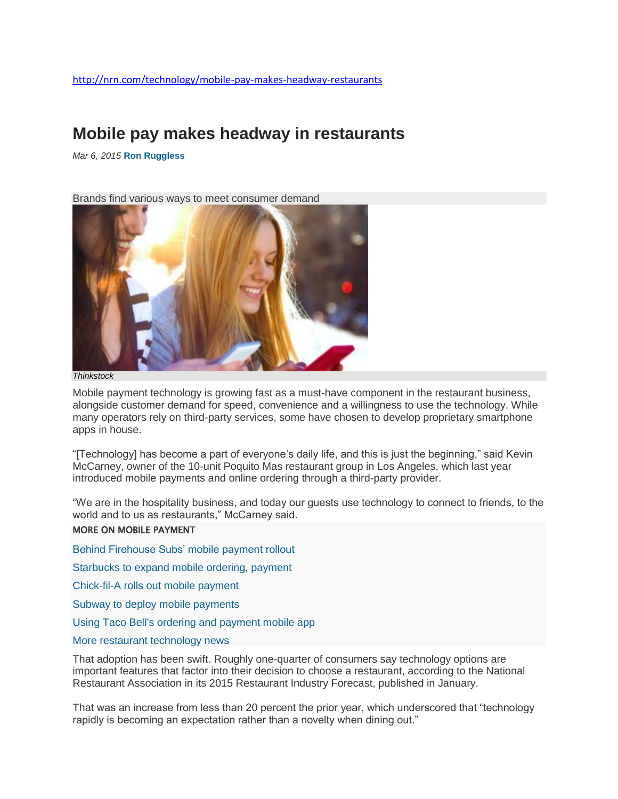## **Mobile pay makes headway in restaurants**

*Mar 6, 2015* **[Ron Ruggless](http://nrn.com/author/ron-ruggless)**

Brands find various ways to meet consumer demand



*Thinkstock*

Mobile payment technology is growing fast as a must-have component in the restaurant business, alongside customer demand for speed, convenience and a willingness to use the technology. While many operators rely on third-party services, some have chosen to develop proprietary smartphone apps in house.

"[Technology] has become a part of everyone's daily life, and this is just the beginning," said Kevin McCarney, owner of the 10-unit Poquito Mas restaurant group in Los Angeles, which last year introduced mobile payments and online ordering through a third-party provider.

"We are in the hospitality business, and today our guests use technology to connect to friends, to the world and to us as restaurants," McCarney said.

#### MORE ON MOBILE PAYMENT

[Behind Firehouse Subs' mobile payment rollout](http://nrn.com/fast-casual/behind-firehouse-subs-mobile-payment-rollout)

[Starbucks to expand mobile ordering, payment](http://nrn.com/technology/starbucks-expand-mobile-ordering-payment)

[Chick-fil-A rolls out mobile payment](http://nrn.com/technology/chick-fil-rolls-out-mobile-payment)

[Subway to deploy mobile payments](http://nrn.com/technology/subway-deploy-mobile-payments)

[Using Taco Bell's ordering and payment mobile app](http://nrn.com/blog/using-taco-bells-ordering-and-payment-mobile-app)

#### [More restaurant technology news](http://nrn.com/operations/technology)

That adoption has been swift. Roughly one-quarter of consumers say technology options are important features that factor into their decision to choose a restaurant, according to the National Restaurant Association in its 2015 Restaurant Industry Forecast, published in January.

That was an increase from less than 20 percent the prior year, which underscored that "technology rapidly is becoming an expectation rather than a novelty when dining out."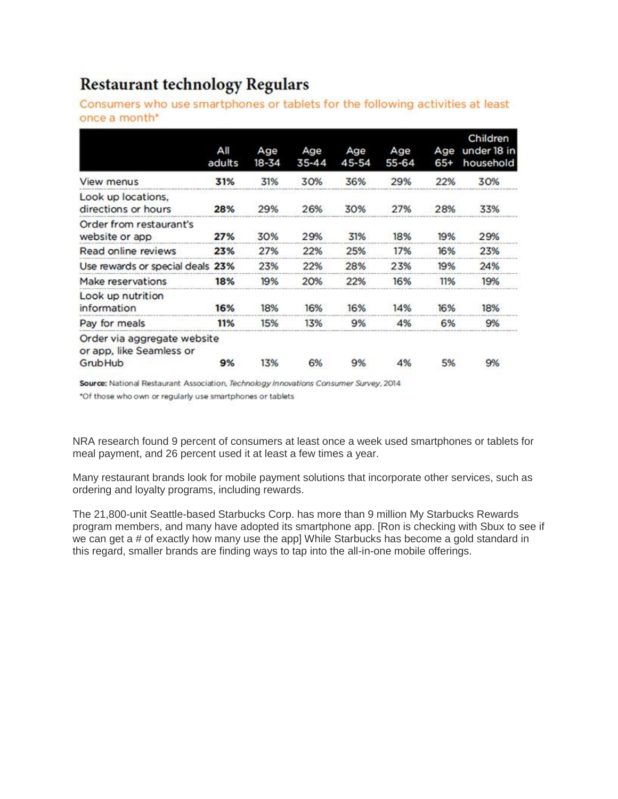# **Restaurant technology Regulars**

Consumers who use smartphones or tablets for the following activities at least once a month\*

|                                                                    | All<br>adults | Age<br>18-34 | Age<br>35-44 | Age<br>45-54 | Age<br>55-64 | Age<br>$65+$ | Children<br>under 18 in<br>household |
|--------------------------------------------------------------------|---------------|--------------|--------------|--------------|--------------|--------------|--------------------------------------|
| View menus                                                         | 31%           | 31%          | 30%          | 36%          | 29%          | 22%          | 30%                                  |
| Look up locations,<br>directions or hours                          | 28%           | 29%          | 26%          | 30%          | 27%          | 28%          | 33%                                  |
| Order from restaurant's<br>website or app                          | 27%           | 30%          | 29%          | 31%          | 18%          | 19%          | 29%                                  |
| Read online reviews                                                | 23%           | 27%          | 22%          | 25%          | 17%          | 16%          | 23%                                  |
| Use rewards or special deals 23%                                   |               | 23%          | 22%          | 28%          | 23%          | 19%          | 24%                                  |
| Make reservations                                                  | 18%           | 19%          | 20%          | 22%          | 16%          | 11%          | 19%                                  |
| Look up nutrition<br>information                                   | 16%           | 18%          | 16%          | 16%          | 14%          | 16%          | 18%                                  |
| Pay for meals                                                      | 11%           | 15%          | 13%          | 9%           | 4%           | 6%           | 9%                                   |
| Order via aggregate website<br>or app, like Seamless or<br>GrubHub | 9%            | 13%          | 6%           | 9%           | 4%           | 5%           | 9%                                   |

Source: National Restaurant Association, Technology Innovations Consumer Survey, 2014

\*Of those who own or regularly use smartphones or tablets

NRA research found 9 percent of consumers at least once a week used smartphones or tablets for meal payment, and 26 percent used it at least a few times a year.

Many restaurant brands look for mobile payment solutions that incorporate other services, such as ordering and loyalty programs, including rewards.

The 21,800-unit Seattle-based Starbucks Corp. has more than 9 million My Starbucks Rewards program members, and many have adopted its smartphone app. [Ron is checking with Sbux to see if we can get a # of exactly how many use the app] While Starbucks has become a gold standard in this regard, smaller brands are finding ways to tap into the all-in-one mobile offerings.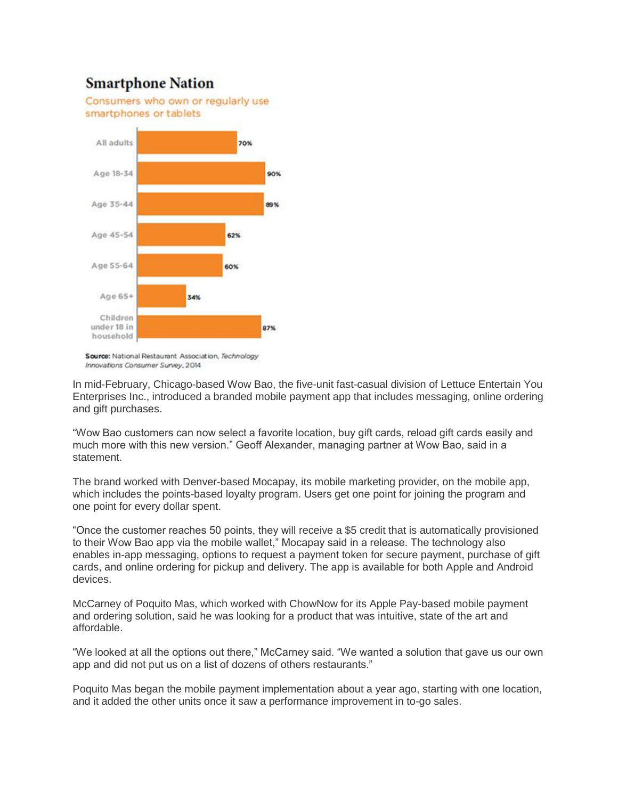### **Smartphone Nation**



Source: National Restaurant Association, Technology Innovations Consumer Survey, 2014

In mid-February, Chicago-based Wow Bao, the five-unit fast-casual division of Lettuce Entertain You Enterprises Inc., introduced a branded mobile payment app that includes messaging, online ordering and gift purchases.

"Wow Bao customers can now select a favorite location, buy gift cards, reload gift cards easily and much more with this new version." Geoff Alexander, managing partner at Wow Bao, said in a statement.

The brand worked with Denver-based Mocapay, its mobile marketing provider, on the mobile app, which includes the points-based loyalty program. Users get one point for joining the program and one point for every dollar spent.

"Once the customer reaches 50 points, they will receive a \$5 credit that is automatically provisioned to their Wow Bao app via the mobile wallet," Mocapay said in a release. The technology also enables in-app messaging, options to request a payment token for secure payment, purchase of gift cards, and online ordering for pickup and delivery. The app is available for both Apple and Android devices.

McCarney of Poquito Mas, which worked with ChowNow for its Apple Pay-based mobile payment and ordering solution, said he was looking for a product that was intuitive, state of the art and affordable.

"We looked at all the options out there," McCarney said. "We wanted a solution that gave us our own app and did not put us on a list of dozens of others restaurants."

Poquito Mas began the mobile payment implementation about a year ago, starting with one location, and it added the other units once it saw a performance improvement in to-go sales.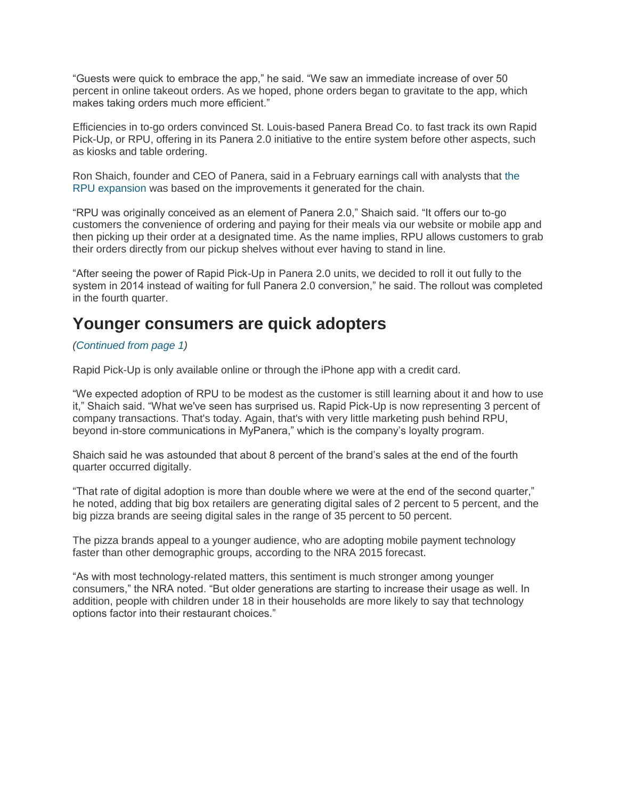"Guests were quick to embrace the app," he said. "We saw an immediate increase of over 50 percent in online takeout orders. As we hoped, phone orders began to gravitate to the app, which makes taking orders much more efficient."

Efficiencies in to-go orders convinced St. Louis-based Panera Bread Co. to fast track its own Rapid Pick-Up, or RPU, offering in its Panera 2.0 initiative to the entire system before other aspects, such as kiosks and table ordering.

Ron Shaich, founder and CEO of Panera, said in a February earnings call with analysts that [the](http://nrn.com/fast-casual/panera-extend-upgrades-300-more-units)  [RPU expansion](http://nrn.com/fast-casual/panera-extend-upgrades-300-more-units) was based on the improvements it generated for the chain.

"RPU was originally conceived as an element of Panera 2.0," Shaich said. "It offers our to-go customers the convenience of ordering and paying for their meals via our website or mobile app and then picking up their order at a designated time. As the name implies, RPU allows customers to grab their orders directly from our pickup shelves without ever having to stand in line.

"After seeing the power of Rapid Pick-Up in Panera 2.0 units, we decided to roll it out fully to the system in 2014 instead of waiting for full Panera 2.0 conversion," he said. The rollout was completed in the fourth quarter.

### **Younger consumers are quick adopters**

#### *[\(Continued from page 1\)](http://nrn.com/technology/mobile-pay-makes-headway-restaurants)*

Rapid Pick-Up is only available online or through the iPhone app with a credit card.

"We expected adoption of RPU to be modest as the customer is still learning about it and how to use it," Shaich said. "What we've seen has surprised us. Rapid Pick-Up is now representing 3 percent of company transactions. That's today. Again, that's with very little marketing push behind RPU, beyond in-store communications in MyPanera," which is the company's loyalty program.

Shaich said he was astounded that about 8 percent of the brand's sales at the end of the fourth quarter occurred digitally.

"That rate of digital adoption is more than double where we were at the end of the second quarter," he noted, adding that big box retailers are generating digital sales of 2 percent to 5 percent, and the big pizza brands are seeing digital sales in the range of 35 percent to 50 percent.

The pizza brands appeal to a younger audience, who are adopting mobile payment technology faster than other demographic groups, according to the NRA 2015 forecast.

"As with most technology-related matters, this sentiment is much stronger among younger consumers," the NRA noted. "But older generations are starting to increase their usage as well. In addition, people with children under 18 in their households are more likely to say that technology options factor into their restaurant choices."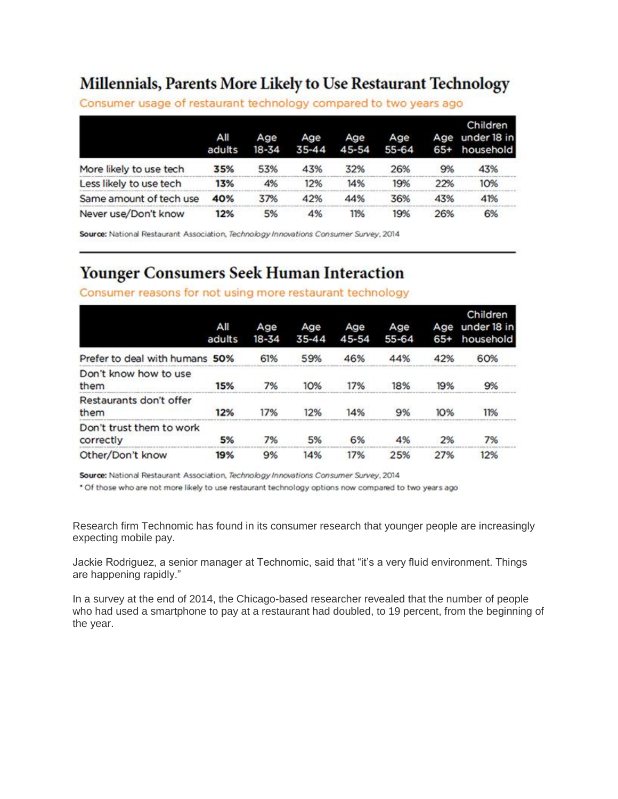# Millennials, Parents More Likely to Use Restaurant Technology

|                         | All<br>adults | Age<br>18-34 | Age<br>$35 - 44$ | Age<br>45-54 | Age<br>55-64 | Age<br>$65+$ | Children<br>under 18 in<br>household |
|-------------------------|---------------|--------------|------------------|--------------|--------------|--------------|--------------------------------------|
| More likely to use tech | 35%           | 53%          | 43%              | 32%          | 26%          | 9%           | 43%                                  |
| Less likely to use tech | 13%           | 4%           | 12%              | 14%          | 19%          | 22%          | 10%                                  |
| Same amount of tech use | 40%           | 37%          | 42%              | 44%          | 36%          | 43%          | 41%                                  |
| Never use/Don't know    | 12%           | 5%           | 4%               | 11%          | 19%          | 26%          | 6%                                   |

Consumer usage of restaurant technology compared to two years ago

Source: National Restaurant Association, Technology Innovations Consumer Survey, 2014

## **Younger Consumers Seek Human Interaction**

#### Consumer reasons for not using more restaurant technology

|                                       | All<br>adults | Age<br>18-34 | Age<br>35-44 | Age<br>45-54 | Age<br>$55 - 64$ | Age<br>$65+$ | Children<br>under 18 in<br>household |
|---------------------------------------|---------------|--------------|--------------|--------------|------------------|--------------|--------------------------------------|
| Prefer to deal with humans 50%        |               | 61%          | 59%          | 46%          | 44%              | 42%          | 60%                                  |
| Don't know how to use<br>them         | 15%           | 7%           | 10%          | 17%          | 18%              | 19%          | 9%                                   |
| Restaurants don't offer<br>them       | 12%           | 17%          | 12%          | 14%          | 9%               | 10%          | 11%                                  |
| Don't trust them to work<br>correctly | 5%            | 7%           | 5%           | 6%           | 4%               | 2%           | 7%                                   |
| Other/Don't know                      | 19%           | 9%           | 14%          | 17%          | 25%              | 27%          | 12%                                  |

Source: National Restaurant Association, Technology Innovations Consumer Survey, 2014

\* Of those who are not more likely to use restaurant technology options now compared to two years ago

Research firm Technomic has found in its consumer research that younger people are increasingly expecting mobile pay.

Jackie Rodriguez, a senior manager at Technomic, said that "it's a very fluid environment. Things are happening rapidly."

In a survey at the end of 2014, the Chicago-based researcher revealed that the number of people who had used a smartphone to pay at a restaurant had doubled, to 19 percent, from the beginning of the year.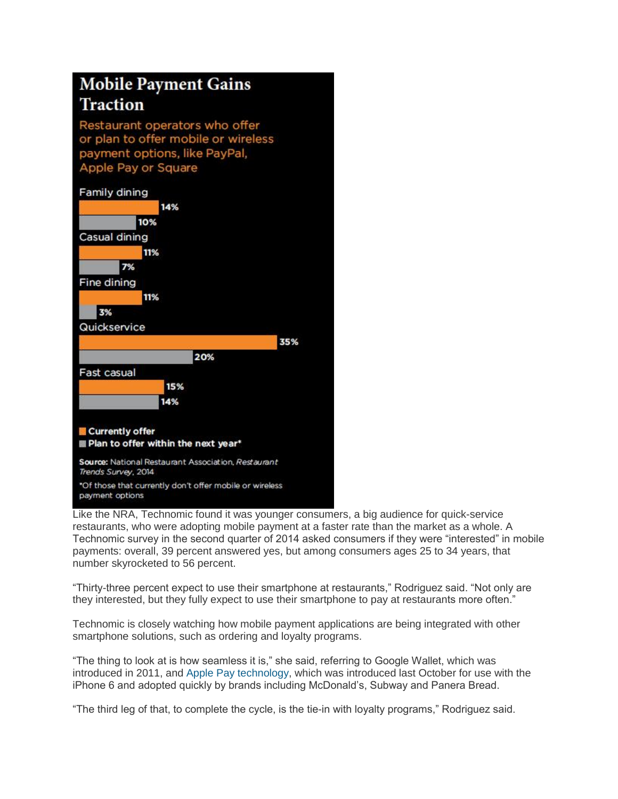# **Mobile Payment Gains Traction**

Restaurant operators who offer or plan to offer mobile or wireless payment options, like PayPal, Apple Pay or Square



Like the NRA, Technomic found it was younger consumers, a big audience for quick-service restaurants, who were adopting mobile payment at a faster rate than the market as a whole. A Technomic survey in the second quarter of 2014 asked consumers if they were "interested" in mobile payments: overall, 39 percent answered yes, but among consumers ages 25 to 34 years, that number skyrocketed to 56 percent.

"Thirty-three percent expect to use their smartphone at restaurants," Rodriguez said. "Not only are they interested, but they fully expect to use their smartphone to pay at restaurants more often."

Technomic is closely watching how mobile payment applications are being integrated with other smartphone solutions, such as ordering and loyalty programs.

"The thing to look at is how seamless it is," she said, referring to Google Wallet, which was introduced in 2011, and [Apple Pay technology,](http://nrn.com/technology/restaurants-poised-accept-apple-pay) which was introduced last October for use with the iPhone 6 and adopted quickly by brands including McDonald's, Subway and Panera Bread.

"The third leg of that, to complete the cycle, is the tie-in with loyalty programs," Rodriguez said.